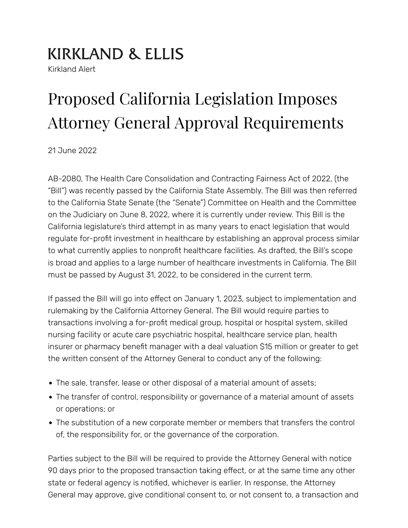## **KIRKLAND & ELLIS**

Kirkland Alert

# Proposed California Legislation Imposes Attorney General Approval Requirements

21 June 2022

AB-2080, The Health Care Consolidation and Contracting Fairness Act of 2022, (the "Bill") was recently passed by the California State Assembly. The Bill was then referred to the California State Senate (the "Senate") Committee on Health and the Committee on the Judiciary on June 8, 2022, where it is currently under review. This Bill is the California legislature's third attempt in as many years to enact legislation that would regulate for-profit investment in healthcare by establishing an approval process similar to what currently applies to nonprofit healthcare facilities. As drafted, the Bill's scope is broad and applies to a large number of healthcare investments in California. The Bill must be passed by August 31, 2022, to be considered in the current term.

If passed the Bill will go into effect on January 1, 2023, subject to implementation and rulemaking by the California Attorney General. The Bill would require parties to transactions involving a for-pro�t medical group, hospital or hospital system, skilled nursing facility or acute care psychiatric hospital, healthcare service plan, health insurer or pharmacy benefit manager with a deal valuation \$15 million or greater to get the written consent of the Attorney General to conduct any of the following:

- The sale, transfer, lease or other disposal of a material amount of assets;
- The transfer of control, responsibility or governance of a material amount of assets or operations; or
- The substitution of a new corporate member or members that transfers the control of, the responsibility for, or the governance of the corporation.

Parties subject to the Bill will be required to provide the Attorney General with notice 90 days prior to the proposed transaction taking effect, or at the same time any other state or federal agency is notified, whichever is earlier. In response, the Attorney General may approve, give conditional consent to, or not consent to, a transaction and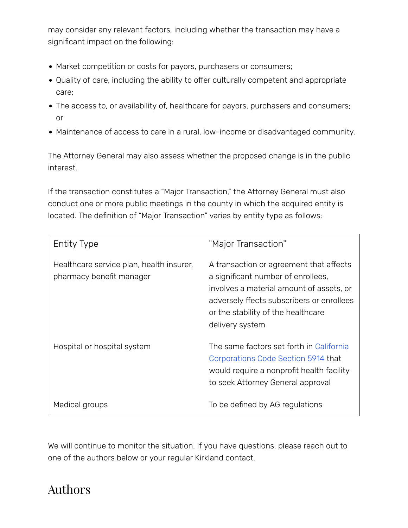may consider any relevant factors, including whether the transaction may have a significant impact on the following:

- Market competition or costs for payors, purchasers or consumers;
- Quality of care, including the ability to offer culturally competent and appropriate care;
- The access to, or availability of, healthcare for payors, purchasers and consumers; or
- Maintenance of access to care in a rural, low-income or disadvantaged community.

The Attorney General may also assess whether the proposed change is in the public interest.

If the transaction constitutes a "Major Transaction," the Attorney General must also conduct one or more public meetings in the county in which the acquired entity is located. The definition of "Major Transaction" varies by entity type as follows:

| <b>Entity Type</b>                                                   | "Major Transaction"                                                                                                                                                                                                             |
|----------------------------------------------------------------------|---------------------------------------------------------------------------------------------------------------------------------------------------------------------------------------------------------------------------------|
| Healthcare service plan, health insurer,<br>pharmacy benefit manager | A transaction or agreement that affects<br>a significant number of enrollees,<br>involves a material amount of assets, or<br>adversely ffects subscribers or enrollees<br>or the stability of the healthcare<br>delivery system |
| Hospital or hospital system                                          | The same factors set forth in California<br>Corporations Code Section 5914 that<br>would require a nonprofit health facility<br>to seek Attorney General approval                                                               |
| Medical groups                                                       | To be defined by AG regulations                                                                                                                                                                                                 |

We will continue to monitor the situation. If you have questions, please reach out to one of the authors below or your regular Kirkland contact.

## Authors